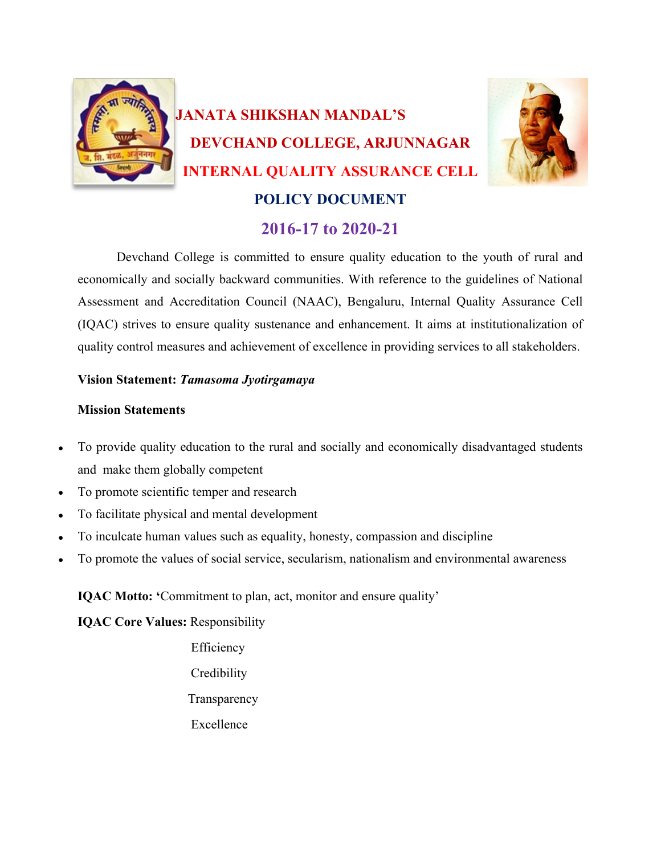

Devchand College is committed to ensure quality education to the youth of rural and economically and socially backward communities. With reference to the guidelines of National Assessment and Accreditation Council (NAAC), Bengaluru, Internal Quality Assurance Cell (IQAC) strives to ensure quality sustenance and enhancement. It aims at institutionalization of quality control measures and achievement of excellence in providing services to all stakeholders.

# **Vision Statement:** *Tamasoma Jyotirgamaya*

# **Mission Statements**

- To provide quality education to the rural and socially and economically disadvantaged students and make them globally competent
- To promote scientific temper and research
- To facilitate physical and mental development
- To inculcate human values such as equality, honesty, compassion and discipline
- To promote the values of social service, secularism, nationalism and environmental awareness

**IQAC Motto: '**Commitment to plan, act, monitor and ensure quality'

**IQAC Core Values:** Responsibility

 Efficiency **Credibility**  Transparency Excellence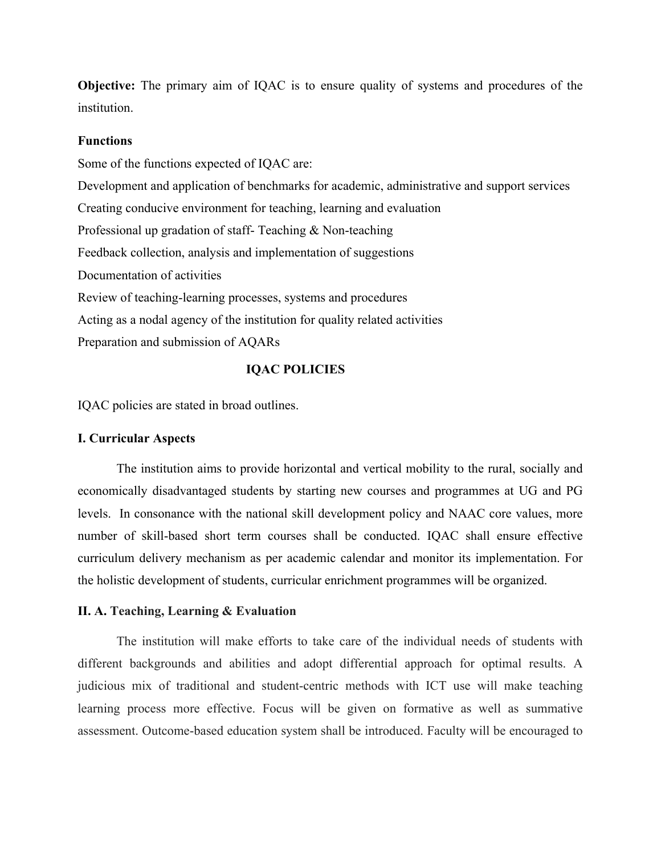**Objective:** The primary aim of IQAC is to ensure quality of systems and procedures of the institution.

#### **Functions**

Some of the functions expected of IQAC are: Development and application of benchmarks for academic, administrative and support services Creating conducive environment for teaching, learning and evaluation Professional up gradation of staff- Teaching & Non-teaching Feedback collection, analysis and implementation of suggestions Documentation of activities Review of teaching-learning processes, systems and procedures Acting as a nodal agency of the institution for quality related activities Preparation and submission of AQARs

## **IQAC POLICIES**

IQAC policies are stated in broad outlines.

## **I. Curricular Aspects**

The institution aims to provide horizontal and vertical mobility to the rural, socially and economically disadvantaged students by starting new courses and programmes at UG and PG levels. In consonance with the national skill development policy and NAAC core values, more number of skill-based short term courses shall be conducted. IQAC shall ensure effective curriculum delivery mechanism as per academic calendar and monitor its implementation. For the holistic development of students, curricular enrichment programmes will be organized.

#### **II. A. Teaching, Learning & Evaluation**

The institution will make efforts to take care of the individual needs of students with different backgrounds and abilities and adopt differential approach for optimal results. A judicious mix of traditional and student-centric methods with ICT use will make teaching learning process more effective. Focus will be given on formative as well as summative assessment. Outcome-based education system shall be introduced. Faculty will be encouraged to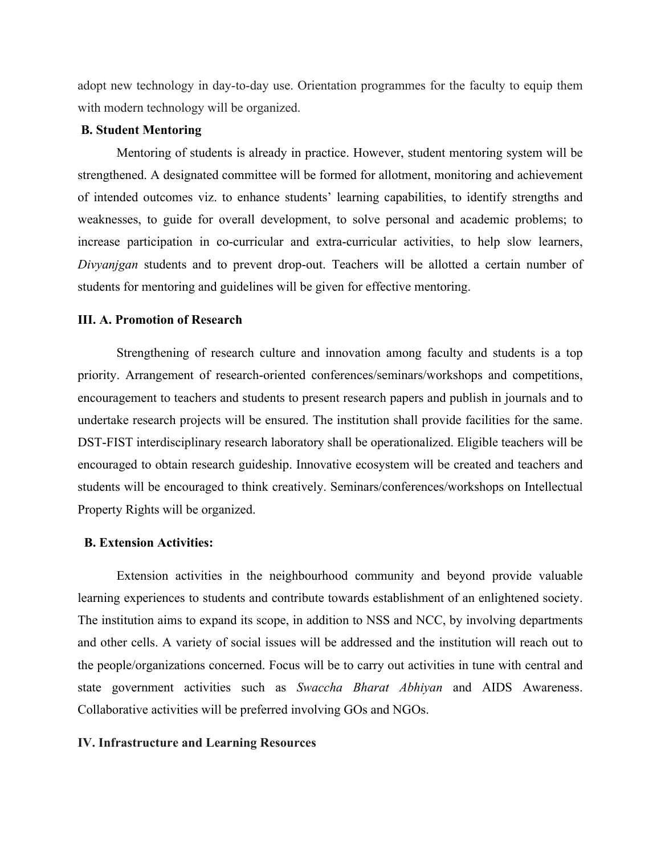adopt new technology in day-to-day use. Orientation programmes for the faculty to equip them with modern technology will be organized.

## **B. Student Mentoring**

Mentoring of students is already in practice. However, student mentoring system will be strengthened. A designated committee will be formed for allotment, monitoring and achievement of intended outcomes viz. to enhance students' learning capabilities, to identify strengths and weaknesses, to guide for overall development, to solve personal and academic problems; to increase participation in co-curricular and extra-curricular activities, to help slow learners, *Divyanjgan* students and to prevent drop-out. Teachers will be allotted a certain number of students for mentoring and guidelines will be given for effective mentoring.

### **III. A. Promotion of Research**

Strengthening of research culture and innovation among faculty and students is a top priority. Arrangement of research-oriented conferences/seminars/workshops and competitions, encouragement to teachers and students to present research papers and publish in journals and to undertake research projects will be ensured. The institution shall provide facilities for the same. DST-FIST interdisciplinary research laboratory shall be operationalized. Eligible teachers will be encouraged to obtain research guideship. Innovative ecosystem will be created and teachers and students will be encouraged to think creatively. Seminars/conferences/workshops on Intellectual Property Rights will be organized.

#### **B. Extension Activities:**

Extension activities in the neighbourhood community and beyond provide valuable learning experiences to students and contribute towards establishment of an enlightened society. The institution aims to expand its scope, in addition to NSS and NCC, by involving departments and other cells. A variety of social issues will be addressed and the institution will reach out to the people/organizations concerned. Focus will be to carry out activities in tune with central and state government activities such as *Swaccha Bharat Abhiyan* and AIDS Awareness. Collaborative activities will be preferred involving GOs and NGOs.

#### **IV. Infrastructure and Learning Resources**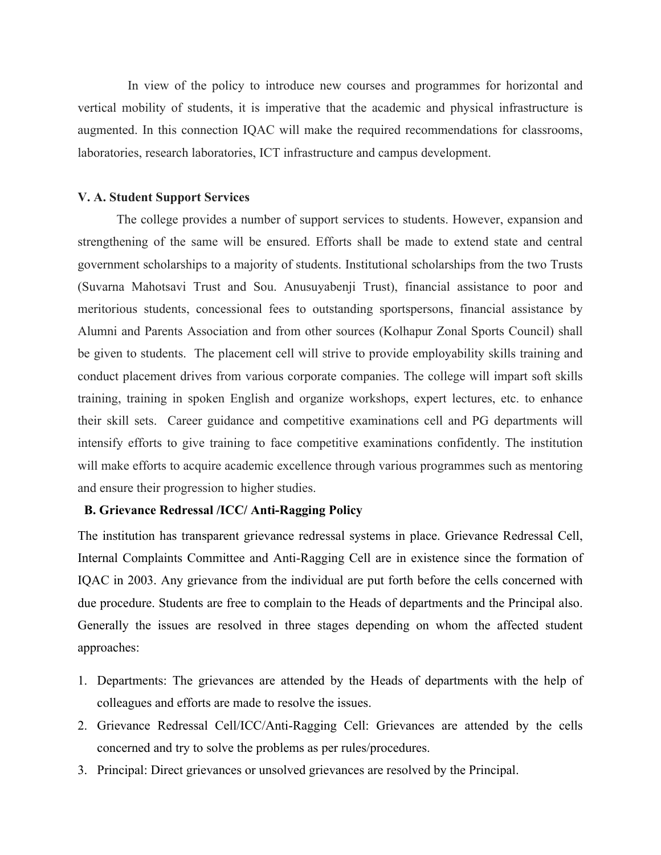In view of the policy to introduce new courses and programmes for horizontal and vertical mobility of students, it is imperative that the academic and physical infrastructure is augmented. In this connection IQAC will make the required recommendations for classrooms, laboratories, research laboratories, ICT infrastructure and campus development.

### **V. A. Student Support Services**

The college provides a number of support services to students. However, expansion and strengthening of the same will be ensured. Efforts shall be made to extend state and central government scholarships to a majority of students. Institutional scholarships from the two Trusts (Suvarna Mahotsavi Trust and Sou. Anusuyabenji Trust), financial assistance to poor and meritorious students, concessional fees to outstanding sportspersons, financial assistance by Alumni and Parents Association and from other sources (Kolhapur Zonal Sports Council) shall be given to students. The placement cell will strive to provide employability skills training and conduct placement drives from various corporate companies. The college will impart soft skills training, training in spoken English and organize workshops, expert lectures, etc. to enhance their skill sets. Career guidance and competitive examinations cell and PG departments will intensify efforts to give training to face competitive examinations confidently. The institution will make efforts to acquire academic excellence through various programmes such as mentoring and ensure their progression to higher studies.

## **B. Grievance Redressal /ICC/ Anti-Ragging Policy**

The institution has transparent grievance redressal systems in place. Grievance Redressal Cell, Internal Complaints Committee and Anti-Ragging Cell are in existence since the formation of IQAC in 2003. Any grievance from the individual are put forth before the cells concerned with due procedure. Students are free to complain to the Heads of departments and the Principal also. Generally the issues are resolved in three stages depending on whom the affected student approaches:

- 1. Departments: The grievances are attended by the Heads of departments with the help of colleagues and efforts are made to resolve the issues.
- 2. Grievance Redressal Cell/ICC/Anti-Ragging Cell: Grievances are attended by the cells concerned and try to solve the problems as per rules/procedures.
- 3. Principal: Direct grievances or unsolved grievances are resolved by the Principal.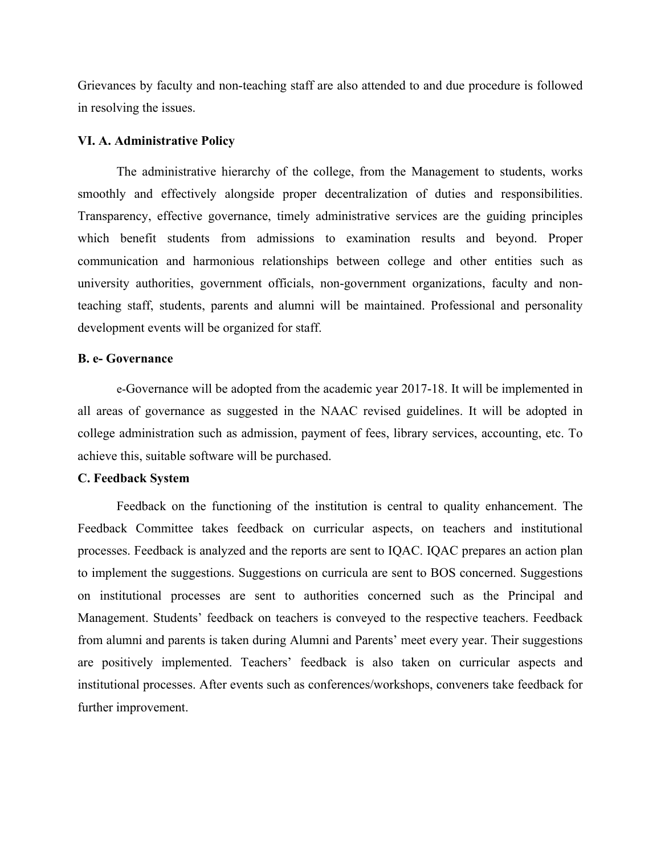Grievances by faculty and non-teaching staff are also attended to and due procedure is followed in resolving the issues.

#### **VI. A. Administrative Policy**

The administrative hierarchy of the college, from the Management to students, works smoothly and effectively alongside proper decentralization of duties and responsibilities. Transparency, effective governance, timely administrative services are the guiding principles which benefit students from admissions to examination results and beyond. Proper communication and harmonious relationships between college and other entities such as university authorities, government officials, non-government organizations, faculty and nonteaching staff, students, parents and alumni will be maintained. Professional and personality development events will be organized for staff.

## **B. e- Governance**

e-Governance will be adopted from the academic year 2017-18. It will be implemented in all areas of governance as suggested in the NAAC revised guidelines. It will be adopted in college administration such as admission, payment of fees, library services, accounting, etc. To achieve this, suitable software will be purchased.

#### **C. Feedback System**

Feedback on the functioning of the institution is central to quality enhancement. The Feedback Committee takes feedback on curricular aspects, on teachers and institutional processes. Feedback is analyzed and the reports are sent to IQAC. IQAC prepares an action plan to implement the suggestions. Suggestions on curricula are sent to BOS concerned. Suggestions on institutional processes are sent to authorities concerned such as the Principal and Management. Students' feedback on teachers is conveyed to the respective teachers. Feedback from alumni and parents is taken during Alumni and Parents' meet every year. Their suggestions are positively implemented. Teachers' feedback is also taken on curricular aspects and institutional processes. After events such as conferences/workshops, conveners take feedback for further improvement.